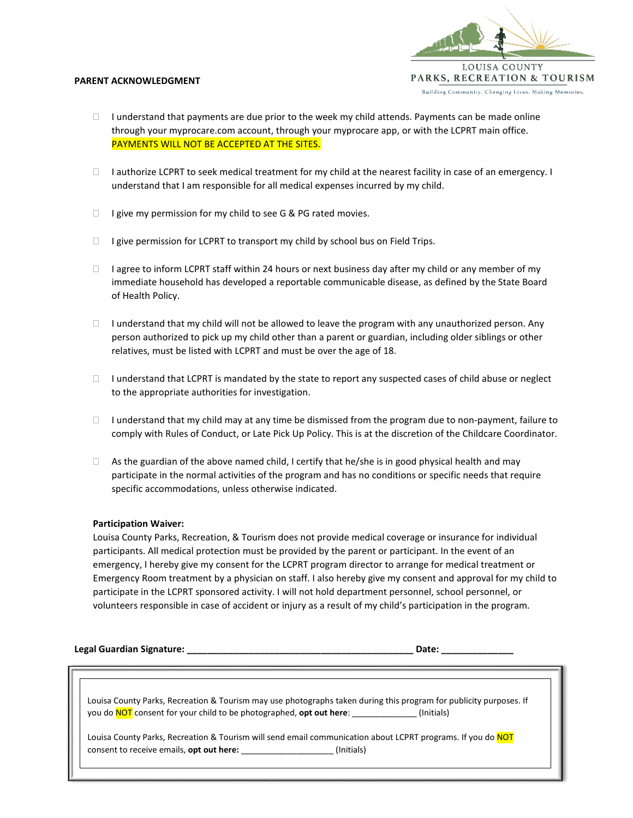

#### **PARENT ACKNOWLEDGMENT**

- $\Box$  I understand that payments are due prior to the week my child attends. Payments can be made online through your myprocare.com account, through your myprocare app, or with the LCPRT main office. PAYMENTS WILL NOT BE ACCEPTED AT THE SITES.
- $\Box$  I authorize LCPRT to seek medical treatment for my child at the nearest facility in case of an emergency. I understand that I am responsible for all medical expenses incurred by my child.
- $\Box$  I give my permission for my child to see G & PG rated movies.
- $\Box$  I give permission for LCPRT to transport my child by school bus on Field Trips.
- $\Box$  I agree to inform LCPRT staff within 24 hours or next business day after my child or any member of my immediate household has developed a reportable communicable disease, as defined by the State Board of Health Policy.
- $\Box$  I understand that my child will not be allowed to leave the program with any unauthorized person. Any person authorized to pick up my child other than a parent or guardian, including older siblings or other relatives, must be listed with LCPRT and must be over the age of 18.
- $\Box$  I understand that LCPRT is mandated by the state to report any suspected cases of child abuse or neglect to the appropriate authorities for investigation.
- $\Box$  I understand that my child may at any time be dismissed from the program due to non-payment, failure to comply with Rules of Conduct, or Late Pick Up Policy. This is at the discretion of the Childcare Coordinator.
- $\Box$  As the guardian of the above named child, I certify that he/she is in good physical health and may participate in the normal activities of the program and has no conditions or specific needs that require specific accommodations, unless otherwise indicated.

# **Participation Waiver:**

Louisa County Parks, Recreation, & Tourism does not provide medical coverage or insurance for individual participants. All medical protection must be provided by the parent or participant. In the event of an emergency, I hereby give my consent for the LCPRT program director to arrange for medical treatment or Emergency Room treatment by a physician on staff. I also hereby give my consent and approval for my child to participate in the LCPRT sponsored activity. I will not hold department personnel, school personnel, or volunteers responsible in case of accident or injury as a result of my child's participation in the program.

**Legal Guardian Signature: \_\_\_\_\_\_\_\_\_\_\_\_\_\_\_\_\_\_\_\_\_\_\_\_\_\_\_\_\_\_\_\_\_\_\_\_\_\_\_\_\_\_\_\_ Date: \_\_\_\_\_\_\_\_\_\_\_\_\_\_**

Louisa County Parks, Recreation & Tourism may use photographs taken during this program for publicity purposes. If you do **NOT** consent for your child to be photographed, **opt out here**:  $\qquad \qquad$  (Initials)

Louisa County Parks, Recreation & Tourism will send email communication about LCPRT programs. If you do NOT consent to receive emails, **opt out here:** \_\_\_\_\_\_\_\_\_\_\_\_\_\_\_\_\_\_\_\_ (Initials)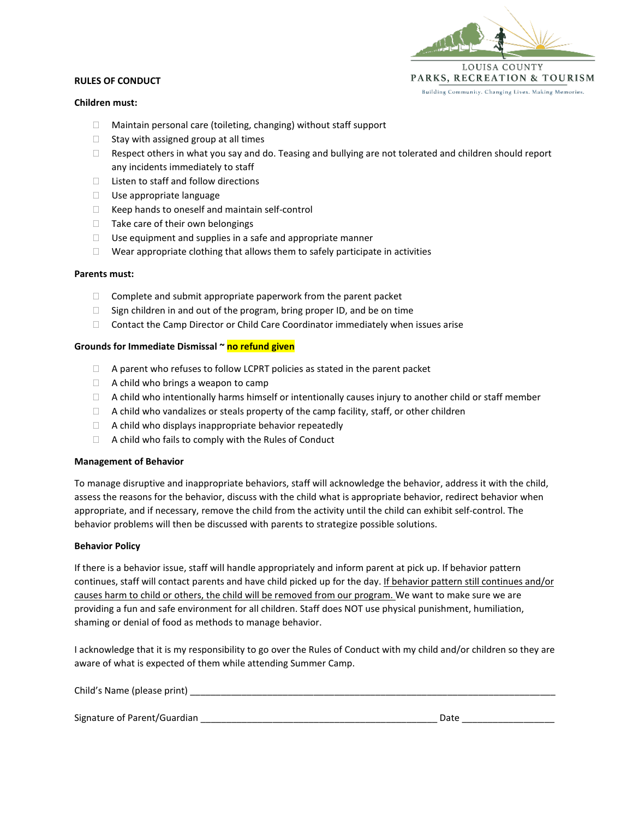

# **RULES OF CONDUCT**

# **Children must:**

- Maintain personal care (toileting, changing) without staff support
- $\Box$  Stay with assigned group at all times
- $\Box$  Respect others in what you say and do. Teasing and bullying are not tolerated and children should report any incidents immediately to staff
- $\Box$  Listen to staff and follow directions
- $\Box$  Use appropriate language
- $\Box$  Keep hands to oneself and maintain self-control
- $\Box$  Take care of their own belongings
- $\Box$  Use equipment and supplies in a safe and appropriate manner
- $\Box$  Wear appropriate clothing that allows them to safely participate in activities

#### **Parents must:**

- $\Box$  Complete and submit appropriate paperwork from the parent packet
- $\Box$  Sign children in and out of the program, bring proper ID, and be on time
- Contact the Camp Director or Child Care Coordinator immediately when issues arise

# **Grounds for Immediate Dismissal ~ no refund given**

- □ A parent who refuses to follow LCPRT policies as stated in the parent packet
- $\Box$  A child who brings a weapon to camp
- $\Box$  A child who intentionally harms himself or intentionally causes injury to another child or staff member
- $\Box$  A child who vandalizes or steals property of the camp facility, staff, or other children
- $\Box$  A child who displays inappropriate behavior repeatedly
- $\Box$  A child who fails to comply with the Rules of Conduct

# **Management of Behavior**

To manage disruptive and inappropriate behaviors, staff will acknowledge the behavior, address it with the child, assess the reasons for the behavior, discuss with the child what is appropriate behavior, redirect behavior when appropriate, and if necessary, remove the child from the activity until the child can exhibit self-control. The behavior problems will then be discussed with parents to strategize possible solutions.

# **Behavior Policy**

If there is a behavior issue, staff will handle appropriately and inform parent at pick up. If behavior pattern continues, staff will contact parents and have child picked up for the day. If behavior pattern still continues and/or causes harm to child or others, the child will be removed from our program. We want to make sure we are providing a fun and safe environment for all children. Staff does NOT use physical punishment, humiliation, shaming or denial of food as methods to manage behavior.

I acknowledge that it is my responsibility to go over the Rules of Conduct with my child and/or children so they are aware of what is expected of them while attending Summer Camp.

| Child's Name (please print)  |      |  |
|------------------------------|------|--|
|                              |      |  |
| Signature of Parent/Guardian | Date |  |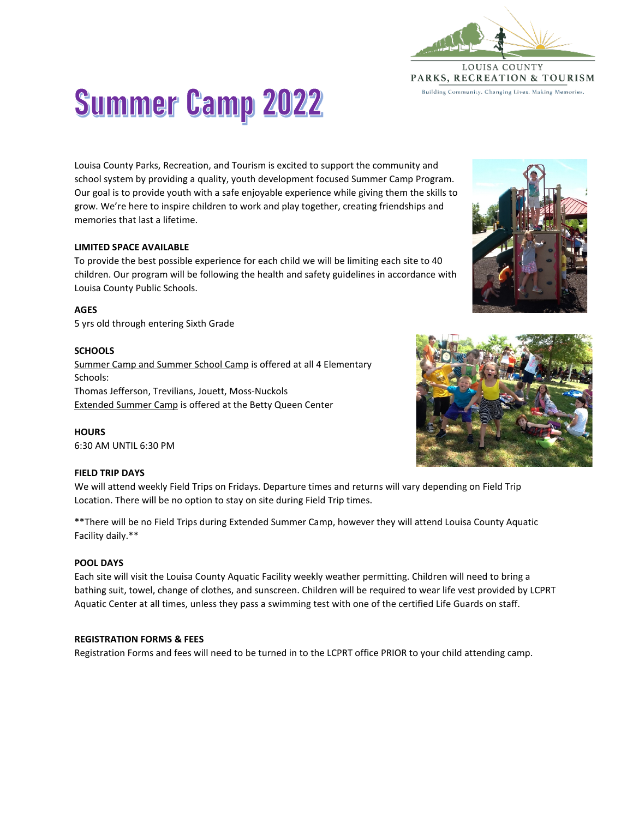

# **Summer Camp 2022**

Louisa County Parks, Recreation, and Tourism is excited to support the community and school system by providing a quality, youth development focused Summer Camp Program. Our goal is to provide youth with a safe enjoyable experience while giving them the skills to grow. We're here to inspire children to work and play together, creating friendships and memories that last a lifetime.

# **LIMITED SPACE AVAILABLE**

To provide the best possible experience for each child we will be limiting each site to 40 children. Our program will be following the health and safety guidelines in accordance with Louisa County Public Schools.

# **AGES**

5 yrs old through entering Sixth Grade

# **SCHOOLS**

Summer Camp and Summer School Camp is offered at all 4 Elementary Schools: Thomas Jefferson, Trevilians, Jouett, Moss-Nuckols Extended Summer Camp is offered at the Betty Queen Center

**HOURS** 6:30 AM UNTIL 6:30 PM

# **FIELD TRIP DAYS**

We will attend weekly Field Trips on Fridays. Departure times and returns will vary depending on Field Trip Location. There will be no option to stay on site during Field Trip times.

\*\*There will be no Field Trips during Extended Summer Camp, however they will attend Louisa County Aquatic Facility daily.\*\*

# **POOL DAYS**

Each site will visit the Louisa County Aquatic Facility weekly weather permitting. Children will need to bring a bathing suit, towel, change of clothes, and sunscreen. Children will be required to wear life vest provided by LCPRT Aquatic Center at all times, unless they pass a swimming test with one of the certified Life Guards on staff.

# **REGISTRATION FORMS & FEES**

Registration Forms and fees will need to be turned in to the LCPRT office PRIOR to your child attending camp.



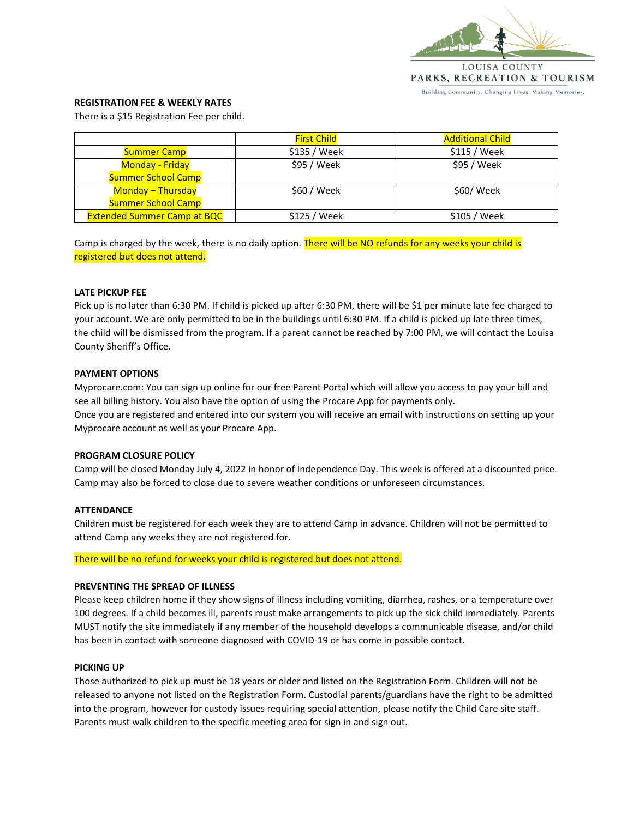

## **REGISTRATION FEE & WEEKLY RATES**

There is a \$15 Registration Fee per child.

|                                    | <b>First Child</b> | <b>Additional Child</b> |
|------------------------------------|--------------------|-------------------------|
| <b>Summer Camp</b>                 | \$135 / Week       | $$115 /$ Week           |
| <b>Monday - Friday</b>             | \$95 / Week        | \$95 / Week             |
| <b>Summer School Camp</b>          |                    |                         |
| <b>Monday - Thursday</b>           | \$60 / Week        | \$60/ Week              |
| <b>Summer School Camp</b>          |                    |                         |
| <b>Extended Summer Camp at BQC</b> | \$125 / Week       | \$105 / Week            |

Camp is charged by the week, there is no daily option. There will be NO refunds for any weeks your child is registered but does not attend.

#### **LATE PICKUP FEE**

Pick up is no later than 6:30 PM. If child is picked up after 6:30 PM, there will be \$1 per minute late fee charged to your account. We are only permitted to be in the buildings until 6:30 PM. If a child is picked up late three times, the child will be dismissed from the program. If a parent cannot be reached by 7:00 PM, we will contact the Louisa County Sheriff's Office.

# **PAYMENT OPTIONS**

Myprocare.com: You can sign up online for our free Parent Portal which will allow you access to pay your bill and see all billing history. You also have the option of using the Procare App for payments only. Once you are registered and entered into our system you will receive an email with instructions on setting up your Myprocare account as well as your Procare App.

#### **PROGRAM CLOSURE POLICY**

Camp will be closed Monday July 4, 2022 in honor of Independence Day. This week is offered at a discounted price. Camp may also be forced to close due to severe weather conditions or unforeseen circumstances.

#### **ATTENDANCE**

Children must be registered for each week they are to attend Camp in advance. Children will not be permitted to attend Camp any weeks they are not registered for.

There will be no refund for weeks your child is registered but does not attend.

#### **PREVENTING THE SPREAD OF ILLNESS**

Please keep children home if they show signs of illness including vomiting, diarrhea, rashes, or a temperature over 100 degrees. If a child becomes ill, parents must make arrangements to pick up the sick child immediately. Parents MUST notify the site immediately if any member of the household develops a communicable disease, and/or child has been in contact with someone diagnosed with COVID-19 or has come in possible contact.

#### **PICKING UP**

Those authorized to pick up must be 18 years or older and listed on the Registration Form. Children will not be released to anyone not listed on the Registration Form. Custodial parents/guardians have the right to be admitted into the program, however for custody issues requiring special attention, please notify the Child Care site staff. Parents must walk children to the specific meeting area for sign in and sign out.